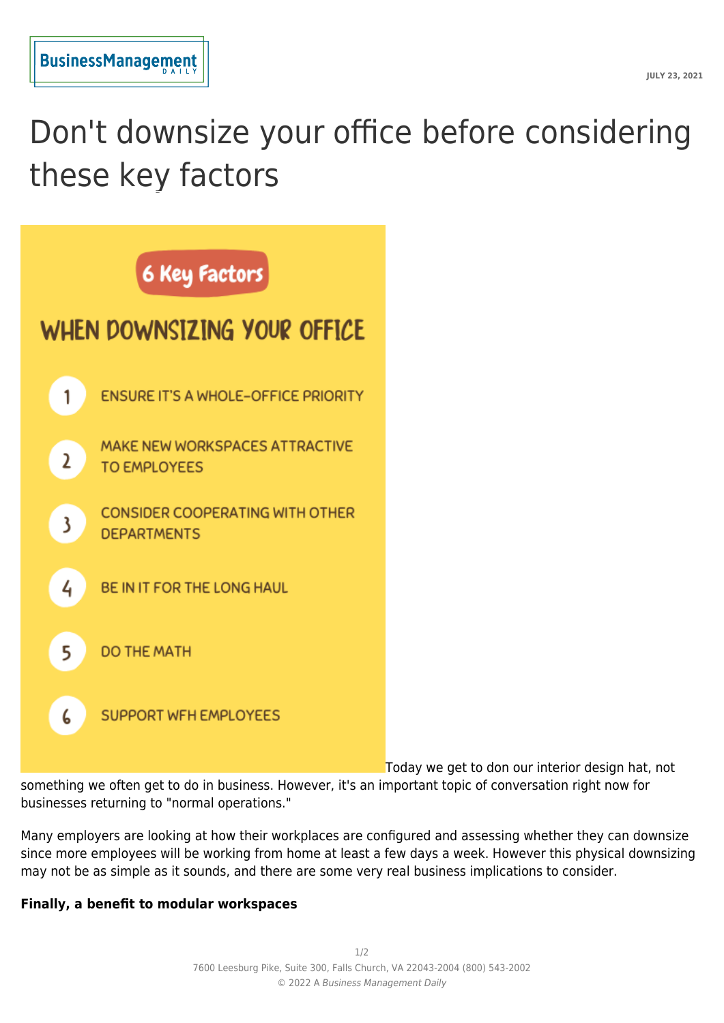## Don't downsize your office before considering these key factors



Today we get to don our interior design hat, not

something we often get to do in business. However, it's an important topic of conversation right now for businesses returning to "normal operations."

Many employers are looking at how their workplaces are configured and assessing whether they can downsize since more employees will be working from home at least a few days a week. However this physical downsizing may not be as simple as it sounds, and there are some very real business implications to consider.

## **Finally, a benefit to modular workspaces**